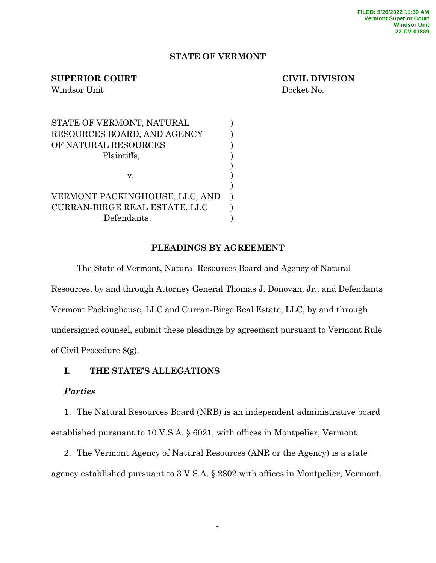## **STATE OF VERMONT**

## **SUPERIOR COURT CIVIL DIVISION**

Windsor Unit Docket No.

| STATE OF VERMONT, NATURAL            |  |
|--------------------------------------|--|
| RESOURCES BOARD, AND AGENCY          |  |
| OF NATURAL RESOURCES                 |  |
| Plaintiffs,                          |  |
|                                      |  |
| $V_{-}$                              |  |
|                                      |  |
| VERMONT PACKINGHOUSE, LLC, AND       |  |
| <b>CURRAN-BIRGE REAL ESTATE, LLC</b> |  |
| Defendants.                          |  |

# **PLEADINGS BY AGREEMENT**

The State of Vermont, Natural Resources Board and Agency of Natural Resources, by and through Attorney General Thomas J. Donovan, Jr., and Defendants Vermont Packinghouse, LLC and Curran-Birge Real Estate, LLC, by and through undersigned counsel, submit these pleadings by agreement pursuant to Vermont Rule of Civil Procedure 8(g).

# **I. THE STATE'S ALLEGATIONS**

## *Parties*

1. The Natural Resources Board (NRB) is an independent administrative board established pursuant to 10 V.S.A. § 6021, with offices in Montpelier, Vermont

2. The Vermont Agency of Natural Resources (ANR or the Agency) is a state agency established pursuant to 3 V.S.A. § 2802 with offices in Montpelier, Vermont.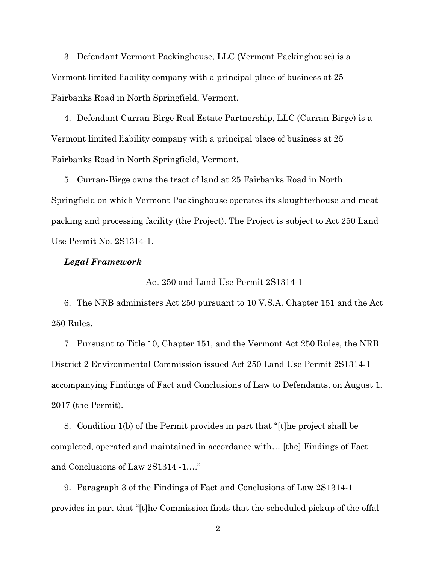3. Defendant Vermont Packinghouse, LLC (Vermont Packinghouse) is a Vermont limited liability company with a principal place of business at 25 Fairbanks Road in North Springfield, Vermont.

4. Defendant Curran-Birge Real Estate Partnership, LLC (Curran-Birge) is a Vermont limited liability company with a principal place of business at 25 Fairbanks Road in North Springfield, Vermont.

5. Curran-Birge owns the tract of land at 25 Fairbanks Road in North Springfield on which Vermont Packinghouse operates its slaughterhouse and meat packing and processing facility (the Project). The Project is subject to Act 250 Land Use Permit No. 2S1314-1.

### *Legal Framework*

#### Act 250 and Land Use Permit 2S1314-1

6. The NRB administers Act 250 pursuant to 10 V.S.A. Chapter 151 and the Act 250 Rules.

7. Pursuant to Title 10, Chapter 151, and the Vermont Act 250 Rules, the NRB District 2 Environmental Commission issued Act 250 Land Use Permit 2S1314-1 accompanying Findings of Fact and Conclusions of Law to Defendants, on August 1, 2017 (the Permit).

8. Condition 1(b) of the Permit provides in part that "[t]he project shall be completed, operated and maintained in accordance with… [the] Findings of Fact and Conclusions of Law 2S1314 -1…."

9. Paragraph 3 of the Findings of Fact and Conclusions of Law 2S1314-1 provides in part that "[t]he Commission finds that the scheduled pickup of the offal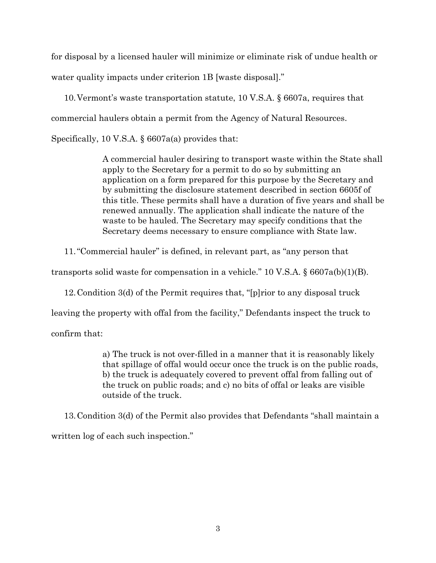for disposal by a licensed hauler will minimize or eliminate risk of undue health or water quality impacts under criterion 1B [waste disposal]."

10.Vermont's waste transportation statute, 10 V.S.A. § 6607a, requires that commercial haulers obtain a permit from the Agency of Natural Resources.

Specifically, 10 V.S.A. § 6607a(a) provides that:

A commercial hauler desiring to transport waste within the State shall apply to the Secretary for a permit to do so by submitting an application on a form prepared for this purpose by the Secretary and by submitting the disclosure statement described in section 6605f of this title. These permits shall have a duration of five years and shall be renewed annually. The application shall indicate the nature of the waste to be hauled. The Secretary may specify conditions that the Secretary deems necessary to ensure compliance with State law.

11."Commercial hauler" is defined, in relevant part, as "any person that

transports solid waste for compensation in a vehicle." 10 V.S.A.  $\S 6607a(b)(1)(B)$ .

12.Condition 3(d) of the Permit requires that, "[p]rior to any disposal truck

leaving the property with offal from the facility," Defendants inspect the truck to

confirm that:

a) The truck is not over-filled in a manner that it is reasonably likely that spillage of offal would occur once the truck is on the public roads, b) the truck is adequately covered to prevent offal from falling out of the truck on public roads; and c) no bits of offal or leaks are visible outside of the truck.

13.Condition 3(d) of the Permit also provides that Defendants "shall maintain a written log of each such inspection."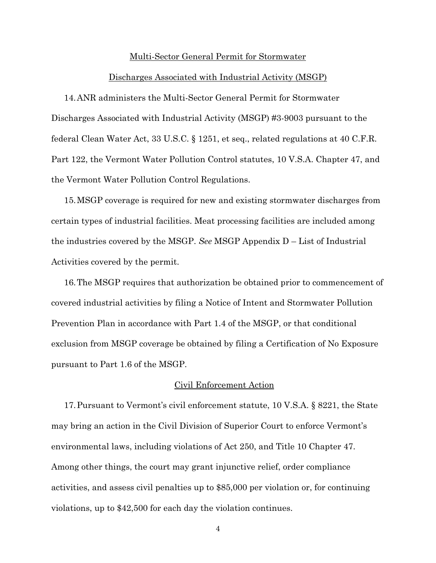#### Multi-Sector General Permit for Stormwater

#### Discharges Associated with Industrial Activity (MSGP)

14.ANR administers the Multi-Sector General Permit for Stormwater Discharges Associated with Industrial Activity (MSGP) #3-9003 pursuant to the federal Clean Water Act, 33 U.S.C. § 1251, et seq., related regulations at 40 C.F.R. Part 122, the Vermont Water Pollution Control statutes, 10 V.S.A. Chapter 47, and the Vermont Water Pollution Control Regulations.

15.MSGP coverage is required for new and existing stormwater discharges from certain types of industrial facilities. Meat processing facilities are included among the industries covered by the MSGP. *See* MSGP Appendix D – List of Industrial Activities covered by the permit.

16.The MSGP requires that authorization be obtained prior to commencement of covered industrial activities by filing a Notice of Intent and Stormwater Pollution Prevention Plan in accordance with Part 1.4 of the MSGP, or that conditional exclusion from MSGP coverage be obtained by filing a Certification of No Exposure pursuant to Part 1.6 of the MSGP.

#### Civil Enforcement Action

17.Pursuant to Vermont's civil enforcement statute, 10 V.S.A. § 8221, the State may bring an action in the Civil Division of Superior Court to enforce Vermont's environmental laws, including violations of Act 250, and Title 10 Chapter 47. Among other things, the court may grant injunctive relief, order compliance activities, and assess civil penalties up to \$85,000 per violation or, for continuing violations, up to \$42,500 for each day the violation continues.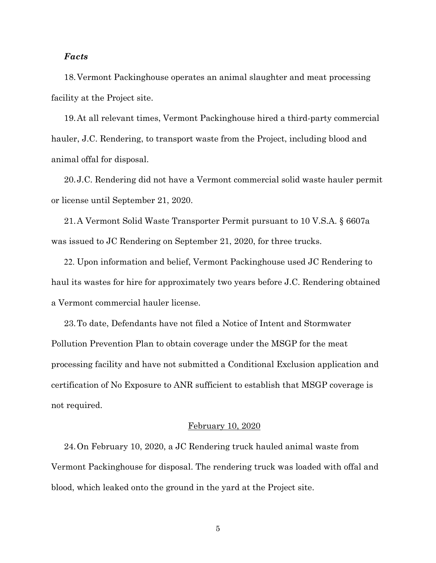## *Facts*

18.Vermont Packinghouse operates an animal slaughter and meat processing facility at the Project site.

19.At all relevant times, Vermont Packinghouse hired a third-party commercial hauler, J.C. Rendering, to transport waste from the Project, including blood and animal offal for disposal.

20.J.C. Rendering did not have a Vermont commercial solid waste hauler permit or license until September 21, 2020.

21.A Vermont Solid Waste Transporter Permit pursuant to 10 V.S.A. § 6607a was issued to JC Rendering on September 21, 2020, for three trucks.

22. Upon information and belief, Vermont Packinghouse used JC Rendering to haul its wastes for hire for approximately two years before J.C. Rendering obtained a Vermont commercial hauler license.

23.To date, Defendants have not filed a Notice of Intent and Stormwater Pollution Prevention Plan to obtain coverage under the MSGP for the meat processing facility and have not submitted a Conditional Exclusion application and certification of No Exposure to ANR sufficient to establish that MSGP coverage is not required.

#### February 10, 2020

24.On February 10, 2020, a JC Rendering truck hauled animal waste from Vermont Packinghouse for disposal. The rendering truck was loaded with offal and blood, which leaked onto the ground in the yard at the Project site.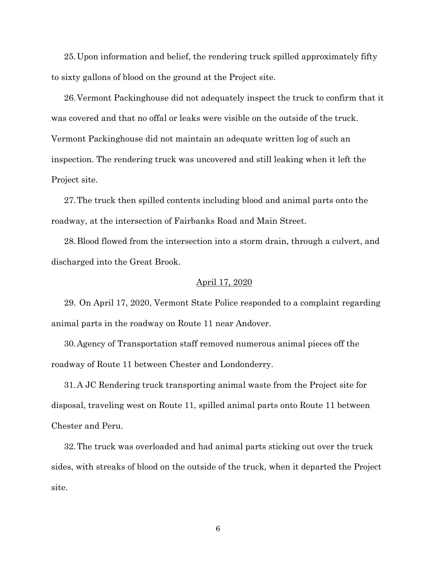25.Upon information and belief, the rendering truck spilled approximately fifty to sixty gallons of blood on the ground at the Project site.

26.Vermont Packinghouse did not adequately inspect the truck to confirm that it was covered and that no offal or leaks were visible on the outside of the truck. Vermont Packinghouse did not maintain an adequate written log of such an inspection. The rendering truck was uncovered and still leaking when it left the Project site.

27.The truck then spilled contents including blood and animal parts onto the roadway, at the intersection of Fairbanks Road and Main Street.

28.Blood flowed from the intersection into a storm drain, through a culvert, and discharged into the Great Brook.

### April 17, 2020

29. On April 17, 2020, Vermont State Police responded to a complaint regarding animal parts in the roadway on Route 11 near Andover.

30.Agency of Transportation staff removed numerous animal pieces off the roadway of Route 11 between Chester and Londonderry.

31.A JC Rendering truck transporting animal waste from the Project site for disposal, traveling west on Route 11, spilled animal parts onto Route 11 between Chester and Peru.

32.The truck was overloaded and had animal parts sticking out over the truck sides, with streaks of blood on the outside of the truck, when it departed the Project site.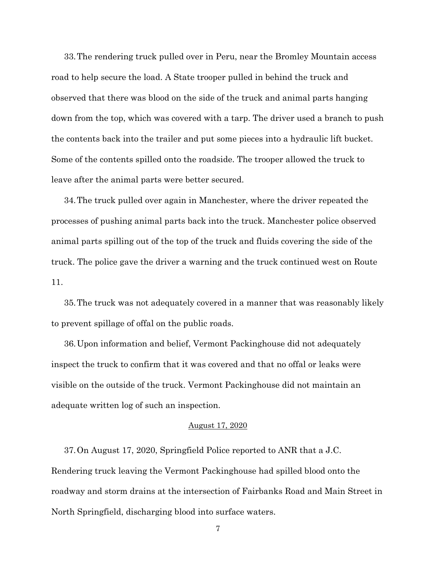33.The rendering truck pulled over in Peru, near the Bromley Mountain access road to help secure the load. A State trooper pulled in behind the truck and observed that there was blood on the side of the truck and animal parts hanging down from the top, which was covered with a tarp. The driver used a branch to push the contents back into the trailer and put some pieces into a hydraulic lift bucket. Some of the contents spilled onto the roadside. The trooper allowed the truck to leave after the animal parts were better secured.

34.The truck pulled over again in Manchester, where the driver repeated the processes of pushing animal parts back into the truck. Manchester police observed animal parts spilling out of the top of the truck and fluids covering the side of the truck. The police gave the driver a warning and the truck continued west on Route 11.

35.The truck was not adequately covered in a manner that was reasonably likely to prevent spillage of offal on the public roads.

36.Upon information and belief, Vermont Packinghouse did not adequately inspect the truck to confirm that it was covered and that no offal or leaks were visible on the outside of the truck. Vermont Packinghouse did not maintain an adequate written log of such an inspection.

#### August 17, 2020

37.On August 17, 2020, Springfield Police reported to ANR that a J.C. Rendering truck leaving the Vermont Packinghouse had spilled blood onto the roadway and storm drains at the intersection of Fairbanks Road and Main Street in North Springfield, discharging blood into surface waters.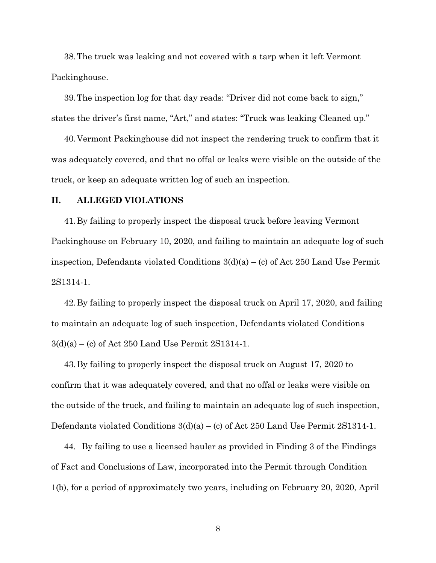38.The truck was leaking and not covered with a tarp when it left Vermont Packinghouse.

39.The inspection log for that day reads: "Driver did not come back to sign," states the driver's first name, "Art," and states: "Truck was leaking Cleaned up."

40.Vermont Packinghouse did not inspect the rendering truck to confirm that it was adequately covered, and that no offal or leaks were visible on the outside of the truck, or keep an adequate written log of such an inspection.

## **II. ALLEGED VIOLATIONS**

41.By failing to properly inspect the disposal truck before leaving Vermont Packinghouse on February 10, 2020, and failing to maintain an adequate log of such inspection, Defendants violated Conditions  $3(d)(a) - (c)$  of Act 250 Land Use Permit 2S1314-1.

42.By failing to properly inspect the disposal truck on April 17, 2020, and failing to maintain an adequate log of such inspection, Defendants violated Conditions 3(d)(a) – (c) of Act 250 Land Use Permit 2S1314-1.

43.By failing to properly inspect the disposal truck on August 17, 2020 to confirm that it was adequately covered, and that no offal or leaks were visible on the outside of the truck, and failing to maintain an adequate log of such inspection, Defendants violated Conditions  $3(d)(a) - (c)$  of Act 250 Land Use Permit 2S1314-1.

44. By failing to use a licensed hauler as provided in Finding 3 of the Findings of Fact and Conclusions of Law, incorporated into the Permit through Condition 1(b), for a period of approximately two years, including on February 20, 2020, April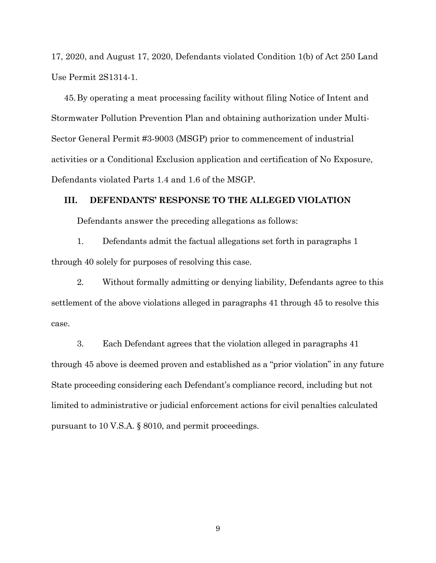17, 2020, and August 17, 2020, Defendants violated Condition 1(b) of Act 250 Land Use Permit 2S1314-1.

45.By operating a meat processing facility without filing Notice of Intent and Stormwater Pollution Prevention Plan and obtaining authorization under Multi-Sector General Permit #3-9003 (MSGP) prior to commencement of industrial activities or a Conditional Exclusion application and certification of No Exposure, Defendants violated Parts 1.4 and 1.6 of the MSGP.

## **III. DEFENDANTS' RESPONSE TO THE ALLEGED VIOLATION**

Defendants answer the preceding allegations as follows:

1. Defendants admit the factual allegations set forth in paragraphs 1 through 40 solely for purposes of resolving this case.

2. Without formally admitting or denying liability, Defendants agree to this settlement of the above violations alleged in paragraphs 41 through 45 to resolve this case.

3. Each Defendant agrees that the violation alleged in paragraphs 41 through 45 above is deemed proven and established as a "prior violation" in any future State proceeding considering each Defendant's compliance record, including but not limited to administrative or judicial enforcement actions for civil penalties calculated pursuant to 10 V.S.A. § 8010, and permit proceedings.